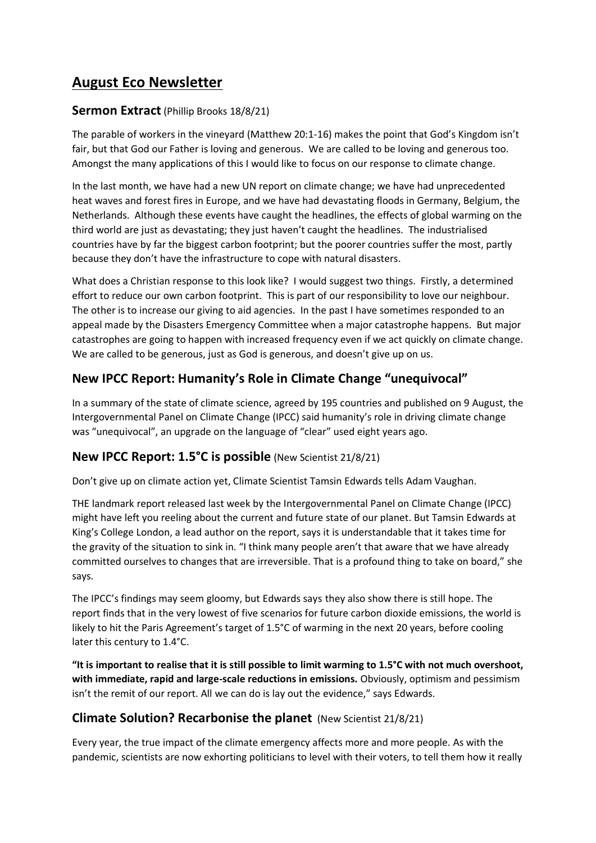# **August Eco Newsletter**

#### **Sermon Extract** (Phillip Brooks 18/8/21)

The parable of workers in the vineyard (Matthew 20:1-16) makes the point that God's Kingdom isn't fair, but that God our Father is loving and generous. We are called to be loving and generous too. Amongst the many applications of this I would like to focus on our response to climate change.

In the last month, we have had a new UN report on climate change; we have had unprecedented heat waves and forest fires in Europe, and we have had devastating floods in Germany, Belgium, the Netherlands. Although these events have caught the headlines, the effects of global warming on the third world are just as devastating; they just haven't caught the headlines. The industrialised countries have by far the biggest carbon footprint; but the poorer countries suffer the most, partly because they don't have the infrastructure to cope with natural disasters.

What does a Christian response to this look like? I would suggest two things. Firstly, a determined effort to reduce our own carbon footprint. This is part of our responsibility to love our neighbour. The other is to increase our giving to aid agencies. In the past I have sometimes responded to an appeal made by the Disasters Emergency Committee when a major catastrophe happens. But major catastrophes are going to happen with increased frequency even if we act quickly on climate change. We are called to be generous, just as God is generous, and doesn't give up on us.

## **New IPCC Report: Humanity's Role in Climate Change "unequivocal"**

In a summary of the state of climate science, agreed by 195 countries and published on 9 August, the Intergovernmental Panel on Climate Change (IPCC) said humanity's role in driving climate change was "unequivocal", an upgrade on the language of "clear" used eight years ago.

#### **New IPCC Report: 1.5°C is possible** (New Scientist 21/8/21)

Don't give up on climate action yet, Climate Scientist Tamsin Edwards tells Adam Vaughan.

THE landmark report released last week by the Intergovernmental Panel on Climate Change (IPCC) might have left you reeling about the current and future state of our planet. But Tamsin Edwards at King's College London, a lead author on the report, says it is understandable that it takes time for the gravity of the situation to sink in. "I think many people aren't that aware that we have already committed ourselves to changes that are irreversible. That is a profound thing to take on board," she says.

The IPCC's findings may seem gloomy, but Edwards says they also show there is still hope. The report finds that in the very lowest of five scenarios for future carbon dioxide emissions, the world is likely to hit the Paris Agreement's target of 1.5°C of warming in the next 20 years, before cooling later this century to 1.4°C.

**"It is important to realise that it is still possible to limit warming to 1.5°C with not much overshoot, with immediate, rapid and large-scale reductions in emissions.** Obviously, optimism and pessimism isn't the remit of our report. All we can do is lay out the evidence," says Edwards.

#### **Climate Solution? Recarbonise the planet** (New Scientist 21/8/21)

Every year, the true impact of the climate emergency affects more and more people. As with the pandemic, scientists are now exhorting politicians to level with their voters, to tell them how it really